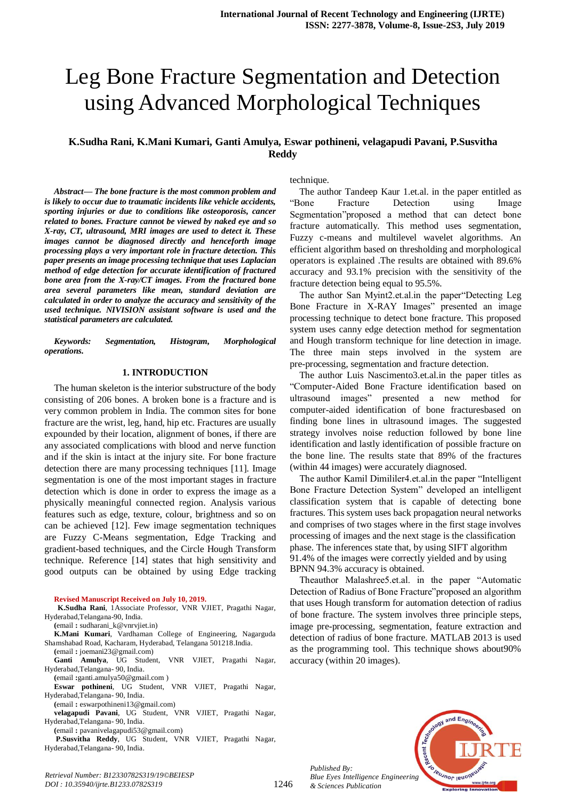# Leg Bone Fracture Segmentation and Detection using Advanced Morphological Techniques

# **K.Sudha Rani, K.Mani Kumari, Ganti Amulya, Eswar pothineni, velagapudi Pavani, P.Susvitha Reddy**

*Abstract***—** *The bone fracture is the most common problem and is likely to occur due to traumatic incidents like vehicle accidents, sporting injuries or due to conditions like osteoporosis, cancer related to bones. Fracture cannot be viewed by naked eye and so X-ray, CT, ultrasound, MRI images are used to detect it. These images cannot be diagnosed directly and henceforth image processing plays a very important role in fracture detection. This paper presents an image processing technique that uses Laplacian method of edge detection for accurate identification of fractured bone area from the X-ray/CT images. From the fractured bone area several parameters like mean, standard deviation are calculated in order to analyze the accuracy and sensitivity of the used technique. NIVISION assistant software is used and the statistical parameters are calculated.*

*Keywords: Segmentation, Histogram, Morphological operations.*

#### **1. INTRODUCTION**

The human skeleton is the interior substructure of the body consisting of 206 bones. A broken bone is a fracture and is very common problem in India. The common sites for bone fracture are the wrist, leg, hand, hip etc. Fractures are usually expounded by their location, alignment of bones, if there are any associated complications with blood and nerve function and if the skin is intact at the injury site. For bone fracture detection there are many processing techniques [11]. Image segmentation is one of the most important stages in fracture detection which is done in order to express the image as a physically meaningful connected region. Analysis various features such as edge, texture, colour, brightness and so on can be achieved [12]. Few image segmentation techniques are Fuzzy C-Means segmentation, Edge Tracking and gradient-based techniques, and the Circle Hough Transform technique. Reference [14] states that high sensitivity and good outputs can be obtained by using Edge tracking

**Revised Manuscript Received on July 10, 2019.**

**K.Sudha Rani**, 1Associate Professor, VNR VJIET, Pragathi Nagar, Hyderabad,Telangana-90, India.

**(**email **:** [sudharani\\_k@vnrvjiet.in\)](mailto:sudharani_k@vnrvjiet.in)

**K.Mani Kumari**, Vardhaman College of Engineering, Nagarguda Shamshabad Road, Kacharam, Hyderabad, Telangana 501218.India. **(**email **:** [joemani23@gmail.com\)](mailto:joemani23@gmail.com)

**Ganti Amulya**, UG Student, VNR VJIET, Pragathi Nagar, Hyderabad,Telangana- 90, India.

**(**email **:**[ganti.amulya50@gmail.com \)](mailto:ganti.amulya50@gmail.com)

**Eswar pothineni**, UG Student, VNR VJIET, Pragathi Nagar, Hyderabad,Telangana- 90, India.

**(**email **:** eswarpothineni13@gmail.com)

**velagapudi Pavani**, UG Student, VNR VJIET, Pragathi Nagar, Hyderabad,Telangana- 90, India.

**(**email **:** [pavanivelagapudi53@gmail.com\)](mailto:pavanivelagapudi53@gmail.com)

*Retrieval Number: B12330782S319/19©BEIESP DOI : 10.35940/ijrte.B1233.0782S319*

**P.Susvitha Reddy**, UG Student, VNR VJIET, Pragathi Nagar, Hyderabad,Telangana- 90, India.

technique.

The author Tandeep Kaur 1.et.al. in the paper entitled as "Bone Fracture Detection using Image Segmentation"proposed a method that can detect bone fracture automatically. This method uses segmentation, Fuzzy c-means and multilevel wavelet algorithms. An efficient algorithm based on thresholding and morphological operators is explained .The results are obtained with 89.6% accuracy and 93.1% precision with the sensitivity of the fracture detection being equal to 95.5%.

The author San Myint2.et.al.in the paper"Detecting Leg Bone Fracture in X-RAY Images" presented an image processing technique to detect bone fracture. This proposed system uses canny edge detection method for segmentation and Hough transform technique for line detection in image. The three main steps involved in the system are pre-processing, segmentation and fracture detection.

The author Luis Nascimento3.et.al.in the paper titles as "Computer-Aided Bone Fracture identification based on ultrasound images" presented a new method for computer-aided identification of bone fracturesbased on finding bone lines in ultrasound images. The suggested strategy involves noise reduction followed by bone line identification and lastly identification of possible fracture on the bone line. The results state that 89% of the fractures (within 44 images) were accurately diagnosed.

The author Kamil Dimililer4.et.al.in the paper "Intelligent Bone Fracture Detection System" developed an intelligent classification system that is capable of detecting bone fractures. This system uses back propagation neural networks and comprises of two stages where in the first stage involves processing of images and the next stage is the classification phase. The inferences state that, by using SIFT algorithm 91.4% of the images were correctly yielded and by using BPNN 94.3% accuracy is obtained.

Theauthor Malashree5.et.al. in the paper "Automatic Detection of Radius of Bone Fracture"proposed an algorithm that uses Hough transform for automation detection of radius of bone fracture. The system involves three principle steps, image pre-processing, segmentation, feature extraction and detection of radius of bone fracture. MATLAB 2013 is used as the programming tool. This technique shows about90% accuracy (within 20 images).



*Published By: Blue Eyes Intelligence Engineering & Sciences Publication*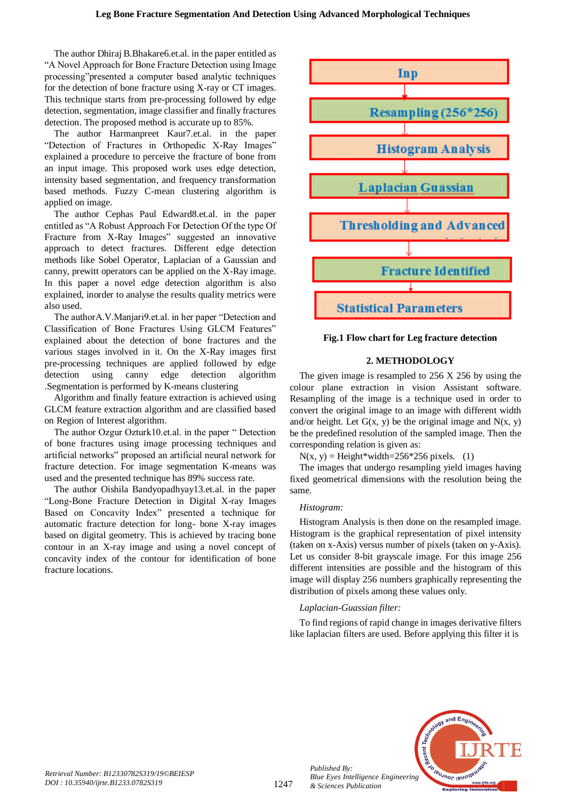The author Dhiraj B.Bhakare6.et.al. in the paper entitled as "A Novel Approach for Bone Fracture Detection using Image processing"presented a computer based analytic techniques for the detection of bone fracture using X-ray or CT images. This technique starts from pre-processing followed by edge detection, segmentation, image classifier and finally fractures detection. The proposed method is accurate up to 85%.

The author Harmanpreet Kaur7.et.al. in the paper "Detection of Fractures in Orthopedic X-Ray Images" explained a procedure to perceive the fracture of bone from an input image. This proposed work uses edge detection, intensity based segmentation, and frequency transformation based methods. Fuzzy C-mean clustering algorithm is applied on image.

The author Cephas Paul Edward8.et.al. in the paper entitled as "A Robust Approach For Detection Of the type Of Fracture from X-Ray Images" suggested an innovative approach to detect fractures. Different edge detection methods like Sobel Operator, Laplacian of a Gaussian and canny, prewitt operators can be applied on the X-Ray image. In this paper a novel edge detection algorithm is also explained, inorder to analyse the results quality metrics were also used.

The authorA.V.Manjari9.et.al. in her paper "Detection and Classification of Bone Fractures Using GLCM Features" explained about the detection of bone fractures and the various stages involved in it. On the X-Ray images first pre-processing techniques are applied followed by edge detection using canny edge detection algorithm .Segmentation is performed by K-means clustering

Algorithm and finally feature extraction is achieved using GLCM feature extraction algorithm and are classified based on Region of Interest algorithm.

The author Ozgur Ozturk10.et.al. in the paper " Detection of bone fractures using image processing techniques and artificial networks" proposed an artificial neural network for fracture detection. For image segmentation K-means was used and the presented technique has 89% success rate.

The author Oishila Bandyopadhyay13.et.al. in the paper "Long-Bone Fracture Detection in Digital X-ray Images Based on Concavity Index" presented a technique for automatic fracture detection for long- bone X-ray images based on digital geometry. This is achieved by tracing bone contour in an X-ray image and using a novel concept of concavity index of the contour for identification of bone fracture locations.



**Fig.1 Flow chart for Leg fracture detection**

## **2. METHODOLOGY**

The given image is resampled to 256 X 256 by using the colour plane extraction in vision Assistant software. Resampling of the image is a technique used in order to convert the original image to an image with different width and/or height. Let  $G(x, y)$  be the original image and  $N(x, y)$ be the predefined resolution of the sampled image. Then the corresponding relation is given as:

 $N(x, y) =$ Height\*width=256\*256 pixels. (1)

The images that undergo resampling yield images having fixed geometrical dimensions with the resolution being the same.

#### *Histogram:*

Histogram Analysis is then done on the resampled image. Histogram is the graphical representation of pixel intensity (taken on x-Axis) versus number of pixels (taken on y-Axis). Let us consider 8-bit grayscale image. For this image 256 different intensities are possible and the histogram of this image will display 256 numbers graphically representing the distribution of pixels among these values only.

#### *Laplacian-Guassian filter:*

To find regions of rapid change in images derivative filters like laplacian filters are used. Before applying this filter it is



*Published By:*

*& Sciences Publication*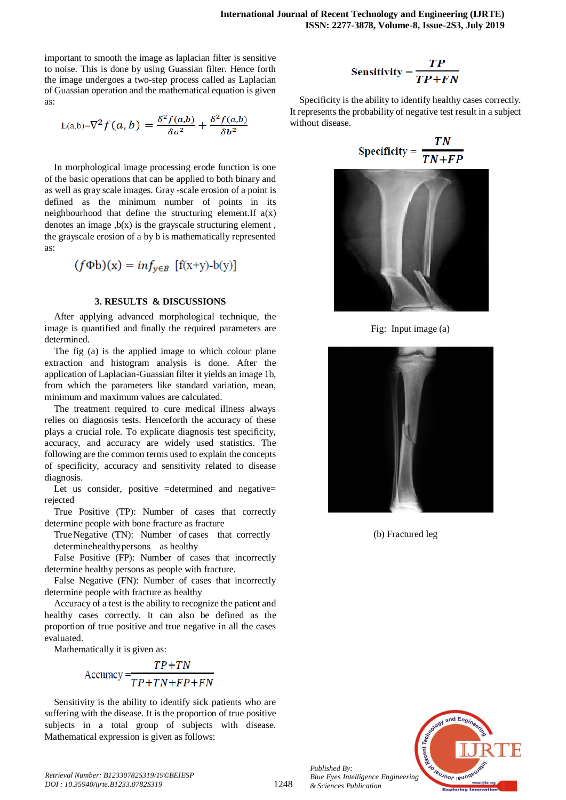important to smooth the image as laplacian filter is sensitive to noise. This is done by using Guassian filter. Hence forth the image undergoes a two-step process called as Laplacian of Guassian operation and the mathematical equation is given as:

$$
L(a,b)=\nabla^2 f(a,b) = \frac{\delta^2 f(a,b)}{\delta a^2} + \frac{\delta^2 f(a,b)}{\delta b^2}
$$

In morphological image processing erode function is one of the basic operations that can be applied to both binary and as well as gray scale images. Gray -scale erosion of a point is defined as the minimum number of points in its neighbourhood that define the structuring element. If  $a(x)$ denotes an image  $,b(x)$  is the grayscale structuring element, the grayscale erosion of a by b is mathematically represented as:

$$
(f\Phi b)(x) = inf_{y \in B} [f(x+y)-b(y)]
$$

#### **3. RESULTS & DISCUSSIONS**

After applying advanced morphological technique, the image is quantified and finally the required parameters are determined.

The fig (a) is the applied image to which colour plane extraction and histogram analysis is done. After the application of Laplacian-Guassian filter it yields an image 1b, from which the parameters like standard variation, mean, minimum and maximum values are calculated.

The treatment required to cure medical illness always relies on diagnosis tests. Henceforth the accuracy of these plays a crucial role. To explicate diagnosis test specificity, accuracy, and accuracy are widely used statistics. The following are the common terms used to explain the concepts of specificity, accuracy and sensitivity related to disease diagnosis.

Let us consider, positive =determined and negative= rejected

True Positive (TP): Number of cases that correctly determine people with bone fracture as fracture

TrueNegative (TN): Number of cases that correctly determinehealthypersons as healthy

False Positive (FP): Number of cases that incorrectly determine healthy persons as people with fracture.

False Negative (FN): Number of cases that incorrectly determine people with fracture as healthy

Accuracy of a test is the ability to recognize the patient and healthy cases correctly. It can also be defined as the proportion of true positive and true negative in all the cases evaluated.

Mathematically it is given as:

$$
Accuracy = \frac{TP + TN}{TP + TN + FP + FN}
$$

Sensitivity is the ability to identify sick patients who are suffering with the disease. It is the proportion of true positive subjects in a total group of subjects with disease. Mathematical expression is given as follows:

$$
Sensitivity = \frac{TP}{TP + FN}
$$

Specificity is the ability to identify healthy cases correctly. It represents the probability of negative test result in a subject without disease.

$$
Specificity = \frac{TN}{TN + FP}
$$



Fig: Input image (a)



(b) Fractured leg



*Published By: Blue Eyes Intelligence Engineering & Sciences Publication* 

1248